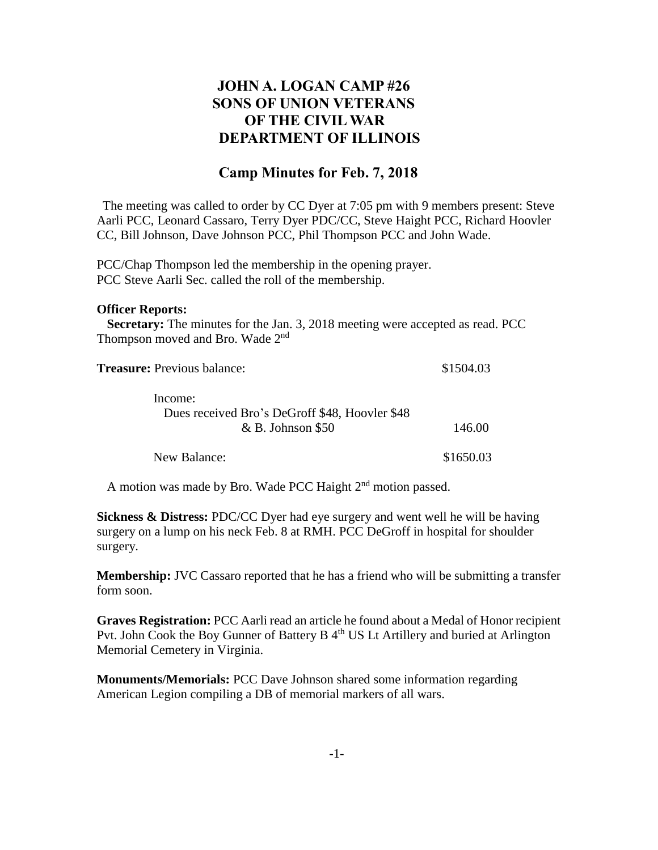## **JOHN A. LOGAN CAMP #26 SONS OF UNION VETERANS OF THE CIVIL WAR DEPARTMENT OF ILLINOIS**

## **Camp Minutes for Feb. 7, 2018**

The meeting was called to order by CC Dyer at 7:05 pm with 9 members present: Steve Aarli PCC, Leonard Cassaro, Terry Dyer PDC/CC, Steve Haight PCC, Richard Hoovler CC, Bill Johnson, Dave Johnson PCC, Phil Thompson PCC and John Wade.

PCC/Chap Thompson led the membership in the opening prayer. PCC Steve Aarli Sec. called the roll of the membership.

## **Officer Reports:**

 **Secretary:** The minutes for the Jan. 3, 2018 meeting were accepted as read. PCC Thompson moved and Bro. Wade 2<sup>nd</sup>

| <b>Treasure:</b> Previous balance:             | \$1504.03 |
|------------------------------------------------|-----------|
| Income:                                        |           |
| Dues received Bro's DeGroff \$48, Hoovler \$48 |           |
| $&B.$ Johnson \$50                             | 146.00    |
| New Balance:                                   | \$1650.03 |

A motion was made by Bro. Wade PCC Haight  $2<sup>nd</sup>$  motion passed.

**Sickness & Distress:** PDC/CC Dyer had eye surgery and went well he will be having surgery on a lump on his neck Feb. 8 at RMH. PCC DeGroff in hospital for shoulder surgery.

**Membership:** JVC Cassaro reported that he has a friend who will be submitting a transfer form soon.

**Graves Registration:** PCC Aarli read an article he found about a Medal of Honor recipient Pvt. John Cook the Boy Gunner of Battery B 4<sup>th</sup> US Lt Artillery and buried at Arlington Memorial Cemetery in Virginia.

**Monuments/Memorials:** PCC Dave Johnson shared some information regarding American Legion compiling a DB of memorial markers of all wars.